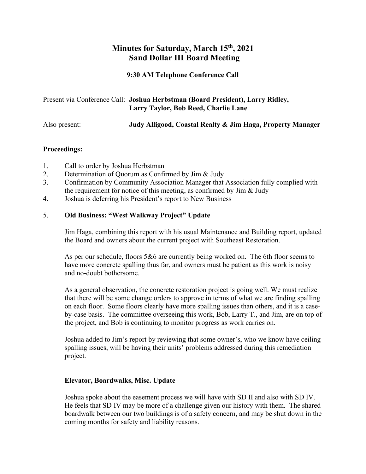# **Minutes for Saturday, March 15th, 2021 Sand Dollar III Board Meeting**

**9:30 AM Telephone Conference Call**

| Present via Conference Call: Joshua Herbstman (Board President), Larry Ridley, |  |
|--------------------------------------------------------------------------------|--|
| Larry Taylor, Bob Reed, Charlie Lane                                           |  |

|  | Judy Alligood, Coastal Realty & Jim Haga, Property Manager |
|--|------------------------------------------------------------|

## **Proceedings:**

- 1. Call to order by Joshua Herbstman
- 2. Determination of Quorum as Confirmed by Jim & Judy
- 3. Confirmation by Community Association Manager that Association fully complied with the requirement for notice of this meeting, as confirmed by Jim & Judy
- 4. Joshua is deferring his President's report to New Business

## 5. **Old Business: "West Walkway Project" Update**

Jim Haga, combining this report with his usual Maintenance and Building report, updated the Board and owners about the current project with Southeast Restoration.

As per our schedule, floors 5&6 are currently being worked on. The 6th floor seems to have more concrete spalling thus far, and owners must be patient as this work is noisy and no-doubt bothersome.

As a general observation, the concrete restoration project is going well. We must realize that there will be some change orders to approve in terms of what we are finding spalling on each floor. Some floors clearly have more spalling issues than others, and it is a caseby-case basis. The committee overseeing this work, Bob, Larry T., and Jim, are on top of the project, and Bob is continuing to monitor progress as work carries on.

Joshua added to Jim's report by reviewing that some owner's, who we know have ceiling spalling issues, will be having their units' problems addressed during this remediation project.

#### **Elevator, Boardwalks, Misc. Update**

Joshua spoke about the easement process we will have with SD II and also with SD IV. He feels that SD IV may be more of a challenge given our history with them. The shared boardwalk between our two buildings is of a safety concern, and may be shut down in the coming months for safety and liability reasons.